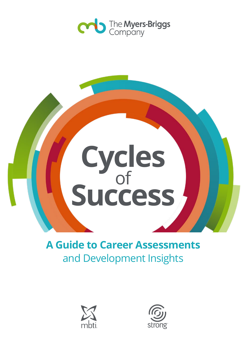



# **A Guide to Career Assessments**  and Development Insights



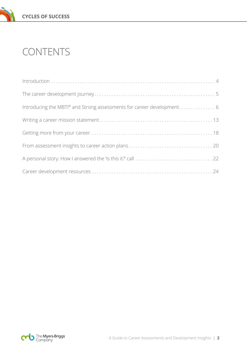

# CONTENTS

| Introducing the MBTI® and Strong assessments for career development 6 |
|-----------------------------------------------------------------------|
|                                                                       |
|                                                                       |
|                                                                       |
|                                                                       |
|                                                                       |

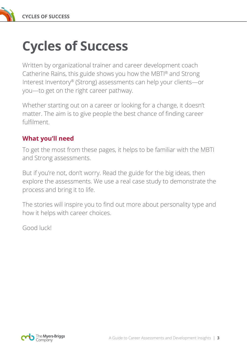

# **Cycles of Success**

Written by organizational trainer and career development coach Catherine Rains, this guide shows you how the MBTI® and Strong Interest Inventory® (Strong) assessments can help your clients—or you—to get on the right career pathway.

Whether starting out on a career or looking for a change, it doesn't matter. The aim is to give people the best chance of finding career fulfilment.

## **What you'll need**

To get the most from these pages, it helps to be familiar with the MBTI and Strong assessments.

But if you're not, don't worry. Read the guide for the big ideas, then explore the assessments. We use a real case study to demonstrate the process and bring it to life.

The stories will inspire you to find out more about personality type and how it helps with career choices.

Good luck!

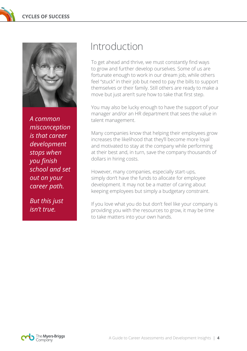

*A common misconception is that career development stops when you finish school and set out on your career path.* 

*But this just isn't true.*

# Introduction

To get ahead and thrive, we must constantly find ways to grow and further develop ourselves. Some of us are fortunate enough to work in our dream job, while others feel "stuck" in their job but need to pay the bills to support themselves or their family. Still others are ready to make a move but just aren't sure how to take that first step.

You may also be lucky enough to have the support of your manager and/or an HR department that sees the value in talent management.

Many companies know that helping their employees grow increases the likelihood that they'll become more loyal and motivated to stay at the company while performing at their best and, in turn, save the company thousands of dollars in hiring costs.

However, many companies, especially start-ups, simply don't have the funds to allocate for employee development. It may not be a matter of caring about keeping employees but simply a budgetary constraint.

If you love what you do but don't feel like your company is providing you with the resources to grow, it may be time to take matters into your own hands.

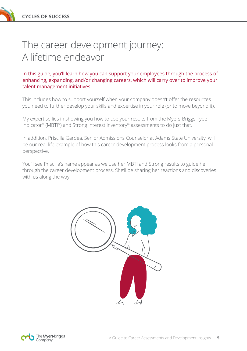

In this guide, you'll learn how you can support your employees through the process of enhancing, expanding, and/or changing careers, which will carry over to improve your talent management initiatives.

This includes how to support yourself when your company doesn't offer the resources you need to further develop your skills and expertise in your role (or to move beyond it).

My expertise lies in showing you how to use your results from the Myers-Briggs Type Indicator® (MBTI®) and Strong Interest Inventory® assessments to do just that.

In addition, Priscilla Gardea, Senior Admissions Counselor at Adams State University, will be our real-life example of how this career development process looks from a personal perspective.

You'll see Priscilla's name appear as we use her MBTI and Strong results to guide her through the career development process. She'll be sharing her reactions and discoveries with us along the way.



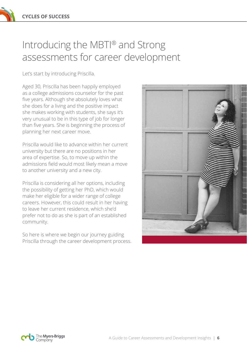# Introducing the MBTI® and Strong assessments for career development

Let's start by introducing Priscilla.

Aged 30, Priscilla has been happily employed as a college admissions counselor for the past five years. Although she absolutely loves what she does for a living and the positive impact she makes working with students, she says it's very unusual to be in this type of job for longer than five years. She is beginning the process of planning her next career move.

Priscilla would like to advance within her current university but there are no positions in her area of expertise. So, to move up within the admissions field would most likely mean a move to another university and a new city.

Priscilla is considering all her options, including the possibility of getting her PhD, which would make her eligible for a wider range of college careers. However, this could result in her having to leave her current residence, which she'd prefer not to do as she is part of an established community.

So here is where we begin our journey guiding Priscilla through the career development process.



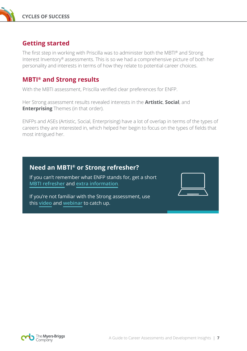

## **Getting started**

The first step in working with Priscilla was to administer both the MBTI® and Strong Interest Inventory® assessments. This is so we had a comprehensive picture of both her personality and interests in terms of how they relate to potential career choices.

### **MBTI® and Strong results**

With the MBTI assessment, Priscilla verified clear preferences for ENFP.

Her Strong assessment results revealed interests in the **Artistic**, **Social**, and **Enterprising** Themes (in that order).

ENFPs and ASEs (Artistic, Social, Enterprising) have a lot of overlap in terms of the types of careers they are interested in, which helped her begin to focus on the types of fields that most intrigued her.

### **Need an MBTI® or Strong refresher?**

If you can't remember what ENFP stands for, get a short **[MBTI refresher](https://www.youtube.com/watch?v=eRDGBrPofQ8)** and **[extra information](https://au.themyersbriggs.com/overview/Myers-Briggs-Type-Indicator-1)**.

If you're not familiar with the Strong assessment, use this **[video](https://www.youtube.com/watch?v=scgqCyxe1QY)** and **[webinar](https://www.themyersbriggs.com/en-US/Resources/Build-the-Workforce-of-Tomorrow-with-the-SuperStrong-Assessment)** to catch up.

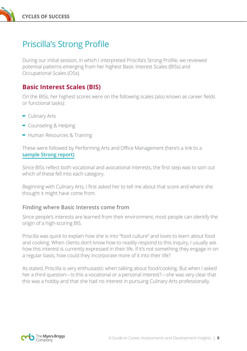

# Priscilla's Strong Profile

During our initial session, in which I interpreted Priscilla's Strong Profile, we reviewed potential patterns emerging from her highest Basic Interest Scales (BISs) and Occupational Scales (OSs).

### **Basic Interest Scales (BIS)**

On the BISs, her highest scores were on the following scales (also known as career fields or functional tasks):

- **-** Culinary Arts
- **-** Counseling & Helping
- **-** Human Resources & Training

These were followed by Performing Arts and Office Management (here's a link to a **[sample Strong report\)](https://au.themyersbriggs.com/sample-reports.aspx)**.

Since BISs reflect both vocational and avocational interests, the first step was to sort out which of these fell into each category.

Beginning with Culinary Arts, I first asked her to tell me about that score and where she thought it might have come from.

#### **Finding where Basic Interests come from**

Since people's interests are learned from their environment, most people can identify the origin of a high-scoring BIS.

Priscilla was quick to explain how she is into "food culture" and loves to learn about food and cooking. When clients don't know how to readily respond to this inquiry, I usually ask how this interest is currently expressed in their life. If it's not something they engage in on a regular basis, how could they incorporate more of it into their life?

As stated, Priscilla is very enthusiastic when talking about food/cooking. But when I asked her a third question—Is this a vocational or a personal interest?—she was very clear that this was a hobby and that she had no interest in pursuing Culinary Arts professionally.

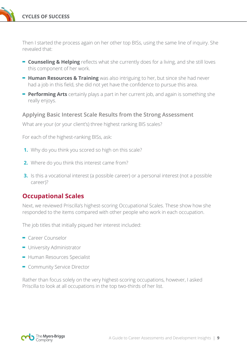**CYCLES OF SUCCESS**

Then I started the process again on her other top BISs, using the same line of inquiry. She revealed that:

- **- Counseling & Helping** reflects what she currently does for a living, and she still loves this component of her work.
- **- Human Resources & Training** was also intriguing to her, but since she had never had a job in this field, she did not yet have the confidence to pursue this area.
- **- Performing Arts** certainly plays a part in her current job, and again is something she really enjoys.

#### **Applying Basic Interest Scale Results from the Strong Assessment**

What are your (or your client's) three highest ranking BIS scales?

For each of the highest-ranking BISs, ask:

- **1.** Why do you think you scored so high on this scale?
- **2.** Where do you think this interest came from?
- **3.** Is this a vocational interest (a possible career) or a personal interest (not a possible career)?

#### **Occupational Scales**

Next, we reviewed Priscilla's highest-scoring Occupational Scales. These show how she responded to the items compared with other people who work in each occupation.

The job titles that initially piqued her interest included:

- **-** Career Counselor
- **-** University Administrator
- **-** Human Resources Specialist
- **-** Community Service Director

Rather than focus solely on the very highest-scoring occupations, however, I asked Priscilla to look at all occupations in the top two-thirds of her list.

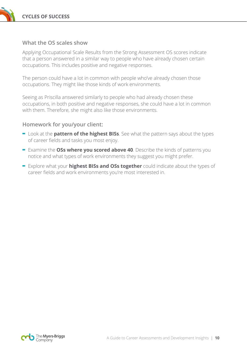

#### **What the OS scales show**

Applying Occupational Scale Results from the Strong Assessment OS scores indicate that a person answered in a similar way to people who have already chosen certain occupations. This includes positive and negative responses.

The person could have a lot in common with people who've already chosen those occupations. They might like those kinds of work environments.

Seeing as Priscilla answered similarly to people who had already chosen these occupations, in both positive and negative responses, she could have a lot in common with them. Therefore, she might also like those environments.

#### **Homework for you/your client:**

- **-** Look at the **pattern of the highest BISs**. See what the pattern says about the types of career fields and tasks you most enjoy.
- **-** Examine the **OSs where you scored above 40**. Describe the kinds of patterns you notice and what types of work environments they suggest you might prefer.
- **-** Explore what your **highest BISs and OSs together** could indicate about the types of career fields and work environments you're most interested in.

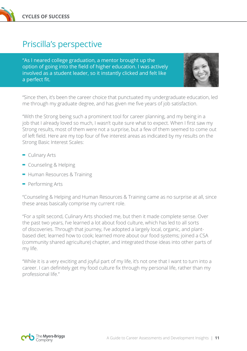

# Priscilla's perspective

"As I neared college graduation, a mentor brought up the option of going into the field of higher education. I was actively involved as a student leader, so it instantly clicked and felt like a perfect fit.



"Since then, it's been the career choice that punctuated my undergraduate education, led me through my graduate degree, and has given me five years of job satisfaction.

"With the Strong being such a prominent tool for career planning, and my being in a job that I already loved so much, I wasn't quite sure what to expect. When I first saw my Strong results, most of them were not a surprise, but a few of them seemed to come out of left field. Here are my top four of five interest areas as indicated by my results on the Strong Basic Interest Scales:

- **-** Culinary Arts
- **-** Counseling & Helping
- **-** Human Resources & Training
- **-** Performing Arts

"Counseling & Helping and Human Resources & Training came as no surprise at all, since these areas basically comprise my current role.

"For a split second, Culinary Arts shocked me, but then it made complete sense. Over the past two years, I've learned a lot about food culture, which has led to all sorts of discoveries. Through that journey, I've adopted a largely local, organic, and plantbased diet; learned how to cook; learned more about our food systems; joined a CSA (community shared agriculture) chapter, and integrated those ideas into other parts of my life.

"While it is a very exciting and joyful part of my life, it's not one that I want to turn into a career. I can definitely get my food culture fix through my personal life, rather than my professional life."

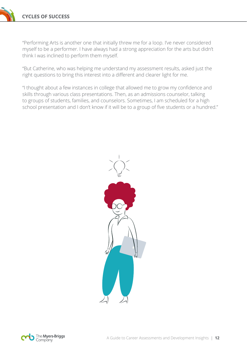"Performing Arts is another one that initially threw me for a loop. I've never considered myself to be a performer. I have always had a strong appreciation for the arts but didn't think I was inclined to perform them myself.

"But Catherine, who was helping me understand my assessment results, asked just the right questions to bring this interest into a different and clearer light for me.

"I thought about a few instances in college that allowed me to grow my confidence and skills through various class presentations. Then, as an admissions counselor, talking to groups of students, families, and counselors. Sometimes, I am scheduled for a high school presentation and I don't know if it will be to a group of five students or a hundred."



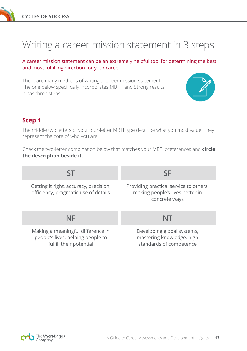

# Writing a career mission statement in 3 steps

A career mission statement can be an extremely helpful tool for determining the best and most fulfilling direction for your career.

There are many methods of writing a career mission statement. The one below specifically incorporates MBTI® and Strong results. It has three steps.



### **Step 1**

The middle two letters of your four-letter MBTI type describe what you most value. They represent the core of who you are.

Check the two-letter combination below that matches your MBTI preferences and **circle the description beside it.**

| ST                                                                                                | SF                                                                                         |
|---------------------------------------------------------------------------------------------------|--------------------------------------------------------------------------------------------|
| Getting it right, accuracy, precision,<br>efficiency, pragmatic use of details                    | Providing practical service to others,<br>making people's lives better in<br>concrete ways |
| NF                                                                                                | NT                                                                                         |
| Making a meaningful difference in<br>people's lives, helping people to<br>fulfill their potential | Developing global systems,<br>mastering knowledge, high<br>standards of competence         |

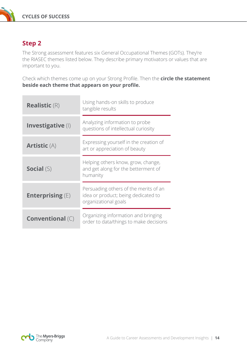

# **Step 2**

The Strong assessment features six General Occupational Themes (GOTs). They're the RIASEC themes listed below. They describe primary motivators or values that are important to you.

Check which themes come up on your Strong Profile. Then the **circle the statement beside each theme that appears on your profile.**

| <b>Realistic (R)</b>    | Using hands-on skills to produce<br>tangible results                                                 |
|-------------------------|------------------------------------------------------------------------------------------------------|
| Investigative (I)       | Analyzing information to probe<br>questions of intellectual curiosity                                |
| <b>Artistic (A)</b>     | Expressing yourself in the creation of<br>art or appreciation of beauty                              |
| <b>Social (S)</b>       | Helping others know, grow, change,<br>and get along for the betterment of<br>humanity                |
| Enterprising $(E)$      | Persuading others of the merits of an<br>idea or product; being dedicated to<br>organizational goals |
| <b>Conventional (C)</b> | Organizing information and bringing<br>order to data/things to make decisions                        |

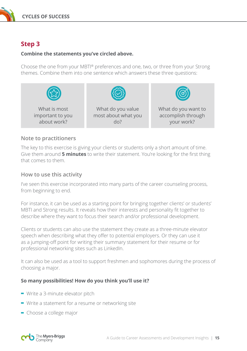

## **Step 3**

#### **Combine the statements you've circled above.**

Choose the one from your MBTI® preferences and one, two, or three from your Strong themes. Combine them into one sentence which answers these three questions:



#### **Note to practitioners**

The key to this exercise is giving your clients or students only a short amount of time. Give them around **5 minutes** to write their statement. You're looking for the first thing that comes to them.

#### **How to use this activity**

I've seen this exercise incorporated into many parts of the career counseling process, from beginning to end.

For instance, it can be used as a starting point for bringing together clients' or students' MBTI and Strong results. It reveals how their interests and personality fit together to describe where they want to focus their search and/or professional development.

Clients or students can also use the statement they create as a three-minute elevator speech when describing what they offer to potential employers. Or they can use it as a jumping-off point for writing their summary statement for their resume or for professional networking sites such as LinkedIn.

It can also be used as a tool to support freshmen and sophomores during the process of choosing a major.

#### **So many possibilities! How do you think you'll use it?**

- **-** Write a 3-minute elevator pitch
- **-** Write a statement for a resume or networking site
- **-** Choose a college major

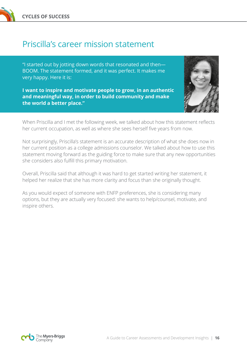

# Priscilla's career mission statement

"I started out by jotting down words that resonated and then— BOOM. The statement formed, and it was perfect. It makes me very happy. Here it is:

**I want to inspire and motivate people to grow, in an authentic and meaningful way, in order to build community and make the world a better place."**



When Priscilla and I met the following week, we talked about how this statement reflects her current occupation, as well as where she sees herself five years from now.

Not surprisingly, Priscilla's statement is an accurate description of what she does now in her current position as a college admissions counselor. We talked about how to use this statement moving forward as the guiding force to make sure that any new opportunities she considers also fulfill this primary motivation.

Overall, Priscilla said that although it was hard to get started writing her statement, it helped her realize that she has more clarity and focus than she originally thought.

As you would expect of someone with ENFP preferences, she is considering many options, but they are actually very focused: she wants to help/counsel, motivate, and inspire others.

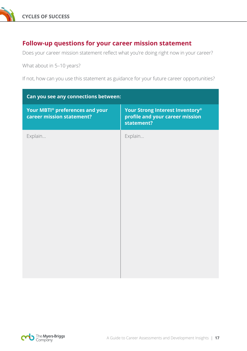

### **Follow-up questions for your career mission statement**

Does your career mission statement reflect what you're doing right now in your career?

What about in 5–10 years?

If not, how can you use this statement as guidance for your future career opportunities?

| Can you see any connections between:                         |                                                                                  |  |
|--------------------------------------------------------------|----------------------------------------------------------------------------------|--|
| Your MBTI® preferences and your<br>career mission statement? | Your Strong Interest Inventory®<br>profile and your career mission<br>statement? |  |
| Explain                                                      | Explain                                                                          |  |

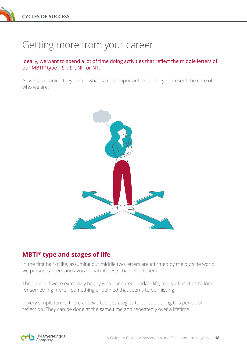# Getting more from your career

Ideally, we want to spend a lot of time doing activities that reflect the middle letters of our MBTI® type—ST, SF, NF, or NT.

As we said earlier, they define what is most important to us. They represent the core of who we are



# **MBTI® type and stages of life**

In the first half of life, assuming our middle two letters are affirmed by the outside world, we pursue careers and avocational interests that reflect them.

Then, even if we're extremely happy with our career and/or life, many of us start to long for something more—something undefined that seems to be missing.

In very simple terms, there are two basic strategies to pursue during this period of reflection. They can be done at the same time and repeatedly over a lifetime.

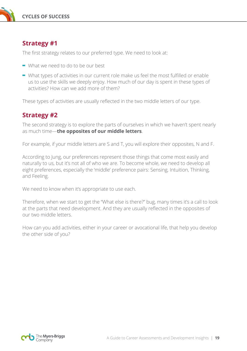

### **Strategy #1**

The first strategy relates to our preferred type. We need to look at:

- **-** What we need to do to be our best
- **-** What types of activities in our current role make us feel the most fulfilled or enable us to use the skills we deeply enjoy. How much of our day is spent in these types of activities? How can we add more of them?

These types of activities are usually reflected in the two middle letters of our type.

### **Strategy #2**

The second strategy is to explore the parts of ourselves in which we haven't spent nearly as much time—**the opposites of our middle letters**.

For example, if your middle letters are S and T, you will explore their opposites, N and F.

According to Jung, our preferences represent those things that come most easily and naturally to us, but it's not all of who we are. To become whole, we need to develop all eight preferences, especially the 'middle' preference pairs: Sensing, Intuition, Thinking, and Feeling.

We need to know when it's appropriate to use each.

Therefore, when we start to get the "What else is there?" bug, many times it's a call to look at the parts that need development. And they are usually reflected in the opposites of our two middle letters.

How can you add activities, either in your career or avocational life, that help you develop the other side of you?

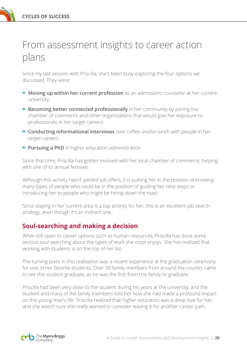

# From assessment insights to career action plans

Since my last session with Priscilla, she's been busy exploring the four options we discussed. They were:

- **- Moving up within her current profession** as an admissions counselor at her current university
- **- Becoming better connected professionally** in her community by joining the chamber of commerce and other organizations that would give her exposure to professionals in her target careers
- **- Conducting informational interviews** over coffee and/or lunch with people in her target careers
- **- Pursuing a PhD** in higher education administration

Since that time, Priscilla has gotten involved with her local chamber of commerce, helping with one of its annual festivals.

Although this activity hasn't yielded job offers, it is putting her in the position of knowing many types of people who could be in the position of guiding her next steps or introducing her to people who might be hiring down the road.

Since staying in her current area is a top priority for her, this is an excellent job search strategy, even though it's an indirect one.

# **Soul-searching and making a decision**

While still open to career options such as human resources, Priscilla has done some serious soul searching about the types of work she most enjoys. She has realized that working with students is on the top of her list.

The turning point in this realization was a recent experience at the graduation ceremony for one of her favorite students. Over 50 family members from around the country came to see this student graduate, as he was the first from this family to graduate.

Priscilla had been very close to the student during his years at the university, and the student and many of the family members told her how she had made a profound impact on this young man's life. Priscilla realized that higher education was a deep love for her, and she wasn't sure she really wanted to consider leaving it for another career path.

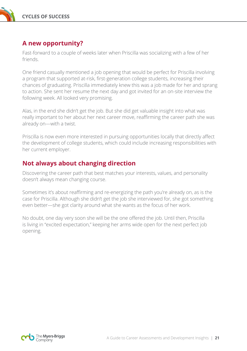

## **A new opportunity?**

Fast-forward to a couple of weeks later when Priscilla was socializing with a few of her friends.

One friend casually mentioned a job opening that would be perfect for Priscilla involving a program that supported at-risk, first-generation college students, increasing their chances of graduating. Priscilla immediately knew this was a job made for her and sprang to action. She sent her resume the next day and got invited for an on-site interview the following week. All looked very promising.

Alas, in the end she didn't get the job. But she did get valuable insight into what was really important to her about her next career move, reaffirming the career path she was already on—with a twist.

Priscilla is now even more interested in pursuing opportunities locally that directly affect the development of college students, which could include increasing responsibilities with her current employer.

### **Not always about changing direction**

Discovering the career path that best matches your interests, values, and personality doesn't always mean changing course.

Sometimes it's about reaffirming and re-energizing the path you're already on, as is the case for Priscilla. Although she didn't get the job she interviewed for, she got something even better—she got clarity around what she wants as the focus of her work.

No doubt, one day very soon she will be the one offered the job. Until then, Priscilla is living in "excited expectation," keeping her arms wide open for the next perfect job opening.

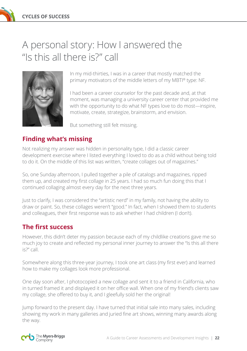# A personal story: How I answered the "Is this all there is?" call



In my mid-thirties, I was in a career that mostly matched the primary motivators of the middle letters of my MBTI® type: NF.

I had been a career counselor for the past decade and, at that moment, was managing a university career center that provided me with the opportunity to do what NF types love to do most—inspire, motivate, create, strategize, brainstorm, and envision.

But something still felt missing.

# **Finding what's missing**

Not realizing my answer was hidden in personality type, I did a classic career development exercise where I listed everything I loved to do as a child without being told to do it. On the middle of this list was written, "create collages out of magazines."

So, one Sunday afternoon, I pulled together a pile of catalogs and magazines, ripped them up, and created my first collage in 25 years. I had so much fun doing this that I continued collaging almost every day for the next three years.

Just to clarify, I was considered the "artistic nerd" in my family, not having the ability to draw or paint. So, these collages weren't "good." In fact, when I showed them to students and colleagues, their first response was to ask whether I had children (I don't).

# **The first success**

However, this didn't deter my passion because each of my childlike creations gave me so much joy to create and reflected my personal inner journey to answer the "Is this all there is?" call.

Somewhere along this three-year journey, I took one art class (my first ever) and learned how to make my collages look more professional.

One day soon after, I photocopied a new collage and sent it to a friend in California, who in turned framed it and displayed it on her office wall. When one of my friend's clients saw my collage, she offered to buy it, and I gleefully sold her the original!

Jump forward to the present day. I have turned that initial sale into many sales, including showing my work in many galleries and juried fine art shows, winning many awards along the way.

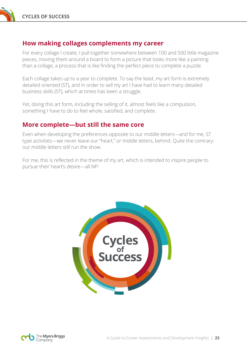

#### **How making collages complements my career**

For every collage I create, I pull together somewhere between 100 and 500 little magazine pieces, moving them around a board to form a picture that looks more like a painting than a collage, a process that is like finding the perfect piece to complete a puzzle.

Each collage takes up to a year to complete. To say the least, my art form is extremely detailed oriented (ST), and in order to sell my art I have had to learn many detailed business skills (ST), which at times has been a struggle.

Yet, doing this art form, including the selling of it, almost feels like a compulsion, something I have to do to feel whole, satisfied, and complete.

### **More complete—but still the same core**

Even when developing the preferences opposite to our middle letters—and for me, ST type activities—we never leave our "heart," or middle letters, behind. Quite the contrary: our middle letters still run the show.

For me, this is reflected in the theme of my art, which is intended to inspire people to pursue their heart's desire—all NF!